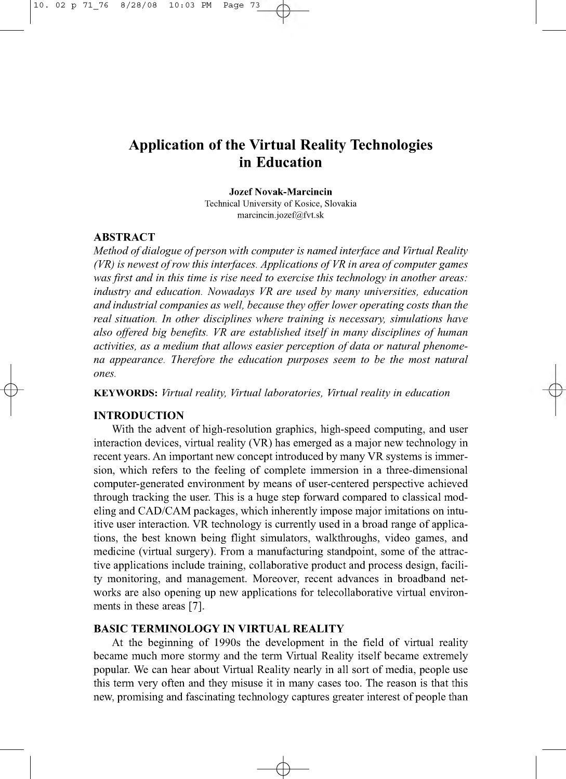# **Application of the Virtual Reality Technologies in Education**

**Jozef Novak-Marcincin** Technical University of Kosice, Slovakia [marcincin.jozef@fvt.sk](mailto:marcincin.jozef@fvt.sk)

### **ABSTRACT**

*Method of dialogue of person with computer is named interface and Virtual Reality (VR) is newest of row this interfaces. Applications of VR in area of computer games was first and in this time is rise need to exercise this technology in another areas: industry and education. Nowadays VR are used by many universities, education and industrial companies as well, because they offer lower operating costs than the real situation. In other disciplines where training is necessary, simulations have* also offered big benefits. VR are established itself in many disciplines of human activities, as a medium that allows easier perception of data or natural phenome*na appearance. Therefore the education purposes seem to be the most natural ones.*

**KEYWORDS:** *Virtual reality, Virtual laboratories, Virtual reality in education*

# **INTRODUCTION**

 $\phi$ 

With the advent of high-resolution graphics, high-speed computing, and user interaction devices, virtual reality (VR) has emerged as a major new technology in recent years. An important new concept introduced by many VR systems is immersion, which refers to the feeling of complete immersion in a three-dimensional computer-generated environment by means of user-centered perspective achieved through tracking the user. This is a huge step forward compared to classical modeling and CAD/CAM packages, which inherently impose major imitations on intuitive user interaction. VR technology is currently used in a broad range of applications, the best known being flight simulators, walkthroughs, video games, and medicine (virtual surgery). From a manufacturing standpoint, some of the attractive applications include training, collaborative product and process design, facility monitoring, and management. Moreover, recent advances in broadband networks are also opening up new applications for telecollaborative virtual environments in these areas [7].

### **BASIC TERMINOLOGY IN VIRTUAL REALITY**

At the beginning of 1990s the development in the field of virtual reality became much more stormy and the term Virtual Reality itself became extremely popular. We can hear about Virtual Reality nearly in all sort of media, people use this term very often and they misuse it in many cases too. The reason is that this new, promising and fascinating technology captures greater interest of people than

 $\rightarrow$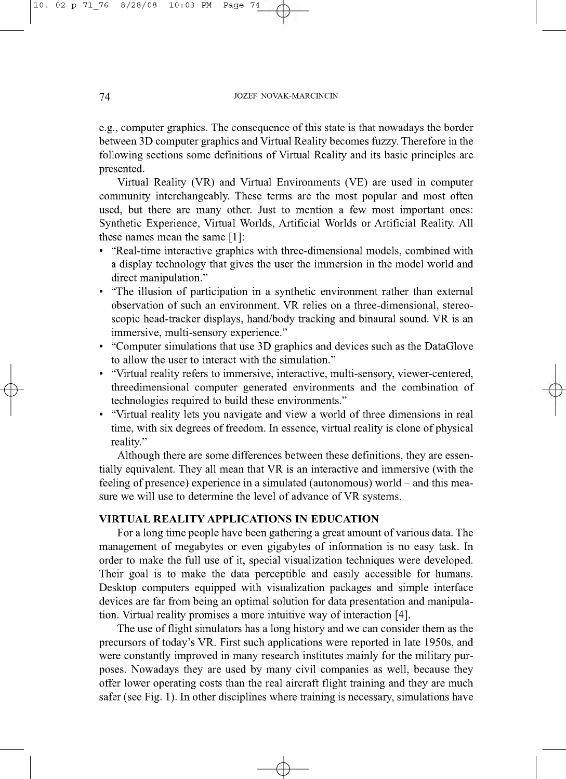#### 74 JOZEF NOVAK-MARCINCIN

e.g., computer graphics. The consequence of this state is that nowadays the border between 3D computer graphics and Virtual Reality becomes fuzzy. Therefore in the following sections some definitions of Virtual Reality and its basic principles are presented.

Virtual Reality (VR) and Virtual Environments (VE) are used in computer community interchangeably. These terms are the most popular and most often used, but there are many other. Just to mention a few most important ones: Synthetic Experience, Virtual Worlds, Artificial Worlds or Artificial Reality. All these names mean the same [1]:

- "Real-time interactive graphics with three-dimensional models, combined with a display technology that gives the user the immersion in the model world and direct manipulation."
- "The illusion of participation in a synthetic environment rather than external observation of such an environment. VR relies on a three-dimensional, stereoscopic head-tracker displays, hand/body tracking and binaural sound. VR is an immersive, multi-sensory experience."
- "Computer simulations that use 3D graphics and devices such as the DataGlove to allow the user to interact with the simulation."
- "Virtual reality refers to immersive, interactive, multi-sensory, viewer-centered, threedimensional computer generated environments and the combination of technologies required to build these environments."
- "Virtual reality lets you navigate and view a world of three dimensions in real time, with six degrees of freedom. In essence, virtual reality is clone of physical reality."

Although there are some differences between these definitions, they are essentially equivalent. They all mean that VR is an interactive and immersive (with the feeling of presence) experience in a simulated (autonomous) world – and this measure we will use to determine the level of advance of VR systems.

# **VIRTUAL REALITY APPLICATIONS IN EDUCATION**

For a long time people have been gathering a great amount of various data. The management of megabytes or even gigabytes of information is no easy task. In order to make the full use of it, special visualization techniques were developed. Their goal is to make the data perceptible and easily accessible for humans. Desktop computers equipped with visualization packages and simple interface devices are far from being an optimal solution for data presentation and manipulation. Virtual reality promises a more intuitive way of interaction [4].

The use of flight simulators has a long history and we can consider them as the precursors of today's VR. First such applications were reported in late 1950s, and were constantly improved in many research institutes mainly for the military purposes. Nowadays they are used by many civil companies as well, because they offer lower operating costs than the real aircraft flight training and they are much safer (see Fig. 1). In other disciplines where training is necessary, simulations have

 $\rightarrow$ 

 $\phi$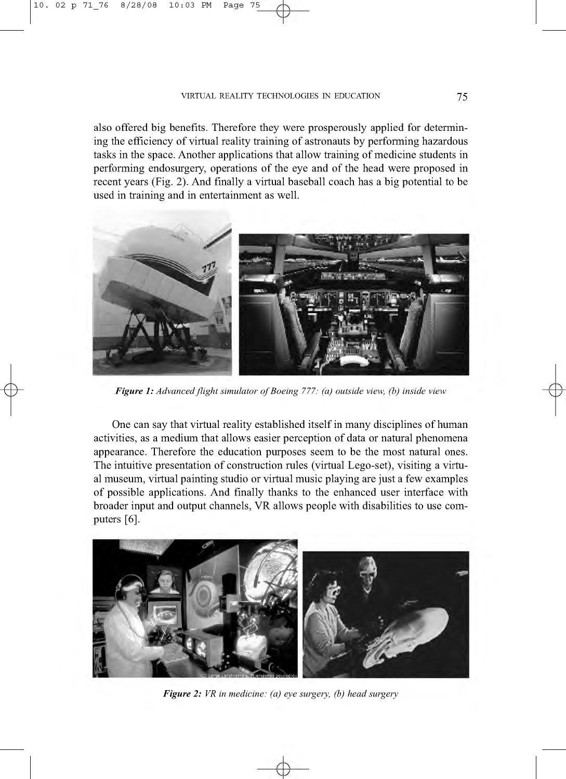$\phi$ 

#### VIRTUAL REALITY TECHNOLOGIES IN EDUCATION <sup>75</sup>

also offered big benefits. Therefore they were prosperously applied for determining the efficiency of virtual reality training of astronauts by performing hazardous tasks in the space. Another applications that allow training of medicine students in performing endosurgery, operations of the eye and of the head were proposed in recent years (Fig. 2). And finally a virtual baseball coach has a big potential to be used in training and in entertainment as well.



*Figure 1: Advanced flight simulator of Boeing 777: (a) outside view, (b) inside view* 

One can say that virtual reality established itself in many disciplines of human activities, as a medium that allows easier perception of data or natural phenomena appearance. Therefore the education purposes seem to be the most natural ones. The intuitive presentation of construction rules (virtual Lego-set), visiting a virtual museum, virtual painting studio or virtual music playing are just a few examples of possible applications. And finally thanks to the enhanced user interface with broader input and output channels, VR allows people with disabilities to use computers [6].



*Figure 2: VR in medicine: (a) eye surgery, (b) head surgery*